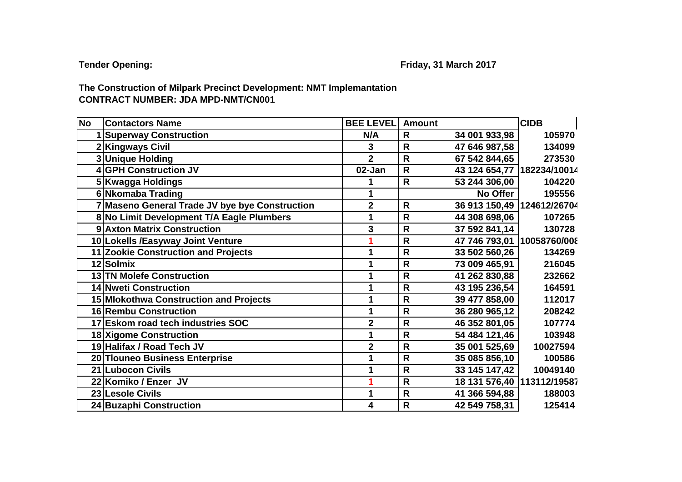## **CONTRACT NUMBER: JDA MPD-NMT/CN001 The Construction of Milpark Precinct Development: NMT Implemantation**

| <b>No</b> | <b>Contactors Name</b>                         | <b>BEE LEVEL</b> | <b>Amount</b> |                            | <b>CIDB</b> |
|-----------|------------------------------------------------|------------------|---------------|----------------------------|-------------|
|           | <b>Superway Construction</b>                   | N/A              | R             | 34 001 933,98              | 105970      |
|           | 2 Kingways Civil                               | 3                | $\mathsf{R}$  | 47 646 987,58              | 134099      |
|           | 3 Unique Holding                               | $\overline{2}$   | $\mathsf{R}$  | 67 542 844,65              | 273530      |
|           | 4 GPH Construction JV                          | 02-Jan           | $\mathsf{R}$  | 43 124 654,77 182234/10014 |             |
|           | 5 Kwagga Holdings                              |                  | $\mathsf{R}$  | 53 244 306,00              | 104220      |
|           | 6 Nkomaba Trading                              |                  |               | No Offer                   | 195556      |
|           | 7 Maseno General Trade JV bye bye Construction | $\overline{2}$   | $\mathsf{R}$  | 36 913 150,49 124612/26704 |             |
|           | 8 No Limit Development T/A Eagle Plumbers      | 1                | $\mathsf{R}$  | 44 308 698,06              | 107265      |
|           | 9 Axton Matrix Construction                    | 3                | $\mathsf{R}$  | 37 592 841,14              | 130728      |
|           | 10 Lokells / Easyway Joint Venture             |                  | $\mathsf{R}$  | 47 746 793,01 10058760/008 |             |
|           | 11 Zookie Construction and Projects            |                  | $\mathsf{R}$  | 33 502 560,26              | 134269      |
|           | 12 Solmix                                      |                  | $\mathsf{R}$  | 73 009 465,91              | 216045      |
|           | 13 TN Molefe Construction                      |                  | $\mathsf{R}$  | 41 262 830,88              | 232662      |
|           | 14 Nweti Construction                          |                  | $\mathsf{R}$  | 43 195 236,54              | 164591      |
|           | 15 Mlokothwa Construction and Projects         |                  | $\mathsf{R}$  | 39 477 858,00              | 112017      |
|           | 16 Rembu Construction                          |                  | $\mathsf{R}$  | 36 280 965,12              | 208242      |
|           | 17 Eskom road tech industries SOC              | $\overline{2}$   | $\mathsf{R}$  | 46 352 801,05              | 107774      |
|           | 18 Xigome Construction                         |                  | R             | 54 484 121,46              | 103948      |
|           | 19 Halifax / Road Tech JV                      | $\overline{2}$   | R             | 35 001 525,69              | 10027594    |
|           | 20 Tlouneo Business Enterprise                 |                  | $\mathsf{R}$  | 35 085 856,10              | 100586      |
|           | 21 Lubocon Civils                              |                  | $\mathsf{R}$  | 33 145 147,42              | 10049140    |
|           | 22 Komiko / Enzer JV                           |                  | $\mathsf{R}$  | 18 131 576,40 113112/19587 |             |
|           | 23 Lesole Civils                               | 1                | $\mathsf{R}$  | 41 366 594,88              | 188003      |
|           | 24 Buzaphi Construction                        | 4                | $\mathsf{R}$  | 42 549 758,31              | 125414      |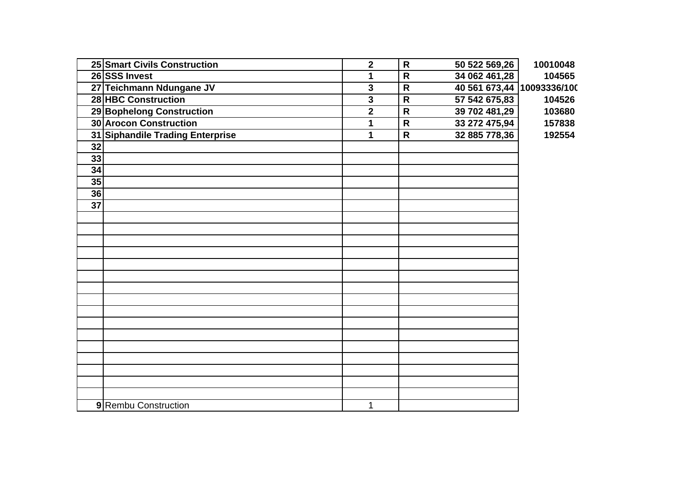|                 | 25 Smart Civils Construction     | $\overline{2}$ | $\mathsf{R}$ | 50 522 569,26              | 10010048 |
|-----------------|----------------------------------|----------------|--------------|----------------------------|----------|
|                 | 26 SSS Invest                    | 1              | $\mathsf{R}$ | 34 062 461,28              | 104565   |
|                 | 27 Teichmann Ndungane JV         | 3              | $\mathsf{R}$ | 40 561 673,44 10093336/100 |          |
|                 | 28 HBC Construction              | 3              | $\mathsf{R}$ | 57 542 675,83              | 104526   |
|                 | 29 Bophelong Construction        | $\overline{2}$ | $\mathsf{R}$ | 39 702 481,29              | 103680   |
|                 | <b>30 Arocon Construction</b>    | 1              | $\mathsf{R}$ | 33 272 475,94              | 157838   |
|                 | 31 Siphandile Trading Enterprise | 1              | $\mathsf{R}$ | 32 885 778,36              | 192554   |
| $\overline{32}$ |                                  |                |              |                            |          |
| 33              |                                  |                |              |                            |          |
| 34              |                                  |                |              |                            |          |
| 35              |                                  |                |              |                            |          |
| 36              |                                  |                |              |                            |          |
| $\overline{37}$ |                                  |                |              |                            |          |
|                 |                                  |                |              |                            |          |
|                 |                                  |                |              |                            |          |
|                 |                                  |                |              |                            |          |
|                 |                                  |                |              |                            |          |
|                 |                                  |                |              |                            |          |
|                 |                                  |                |              |                            |          |
|                 |                                  |                |              |                            |          |
|                 |                                  |                |              |                            |          |
|                 |                                  |                |              |                            |          |
|                 |                                  |                |              |                            |          |
|                 |                                  |                |              |                            |          |
|                 |                                  |                |              |                            |          |
|                 |                                  |                |              |                            |          |
|                 |                                  |                |              |                            |          |
|                 |                                  |                |              |                            |          |
|                 |                                  |                |              |                            |          |
|                 | 9 Rembu Construction             | 1              |              |                            |          |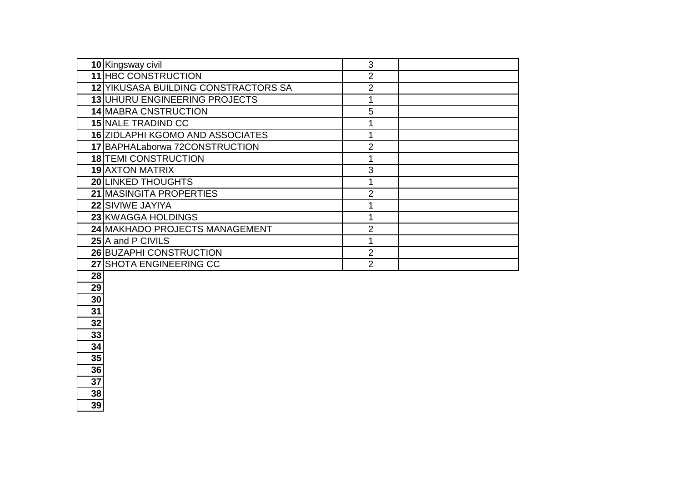| 10 Kingsway civil                    | 3             |  |
|--------------------------------------|---------------|--|
| 11 HBC CONSTRUCTION                  | 2             |  |
| 12 YIKUSASA BUILDING CONSTRACTORS SA | 2             |  |
| 13 UHURU ENGINEERING PROJECTS        |               |  |
| 14 MABRA CNSTRUCTION                 | 5             |  |
| <b>15 NALE TRADIND CC</b>            |               |  |
| 16 ZIDLAPHI KGOMO AND ASSOCIATES     |               |  |
| 17 BAPHALaborwa 72CONSTRUCTION       | っ             |  |
| <b>18 TEMI CONSTRUCTION</b>          |               |  |
| <b>19 AXTON MATRIX</b>               | 3             |  |
| <b>20 LINKED THOUGHTS</b>            |               |  |
| 21 MASINGITA PROPERTIES              | 2             |  |
| 22 SIVIWE JAYIYA                     |               |  |
| 23 KWAGGA HOLDINGS                   |               |  |
| 24 MAKHADO PROJECTS MANAGEMENT       |               |  |
| 25 A and P CIVILS                    |               |  |
| 26 BUZAPHI CONSTRUCTION              | $\mathcal{P}$ |  |
| 27 SHOTA ENGINEERING CC              | 2             |  |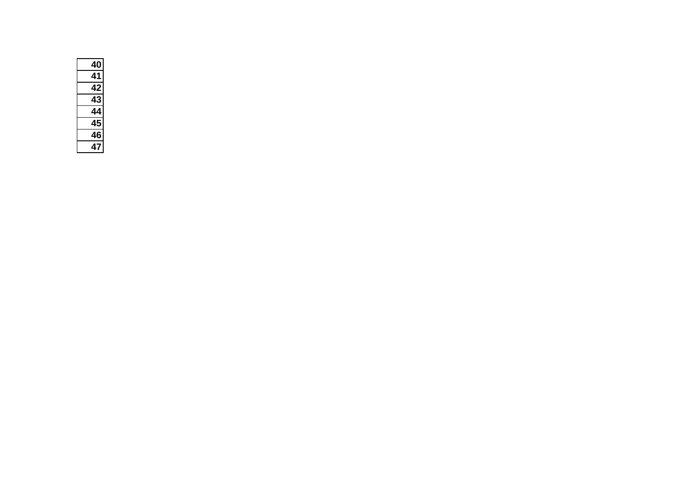| 4                |  |
|------------------|--|
|                  |  |
| l2<br>$\epsilon$ |  |
| D                |  |
|                  |  |
| 5<br>$\epsilon$  |  |
| 6<br>4           |  |
| 7                |  |